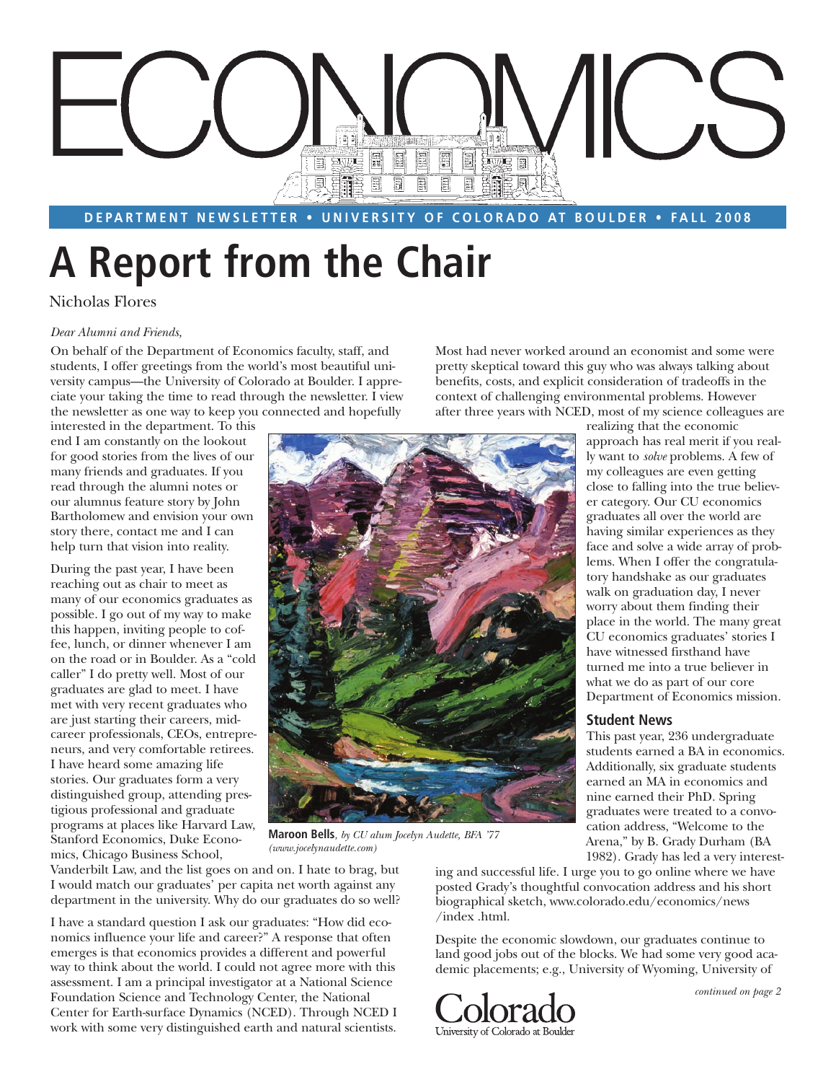

**DEPARTMENT NEWSLETTER • UNIVERSITY OF COLORADO AT BOULDER • FALL 2008** 

# **A Report from the Chair**

#### Nicholas Flores

#### *Dear Alumni and Friends,*

On behalf of the Department of Economics faculty, staff, and students, I offer greetings from the world's most beautiful university campus—the University of Colorado at Boulder. I appreciate your taking the time to read through the newsletter. I view the newsletter as one way to keep you connected and hopefully

interested in the department. To this end I am constantly on the lookout for good stories from the lives of our many friends and graduates. If you read through the alumni notes or our alumnus feature story by John Bartholomew and envision your own story there, contact me and I can help turn that vision into reality.

During the past year, I have been reaching out as chair to meet as many of our economics graduates as possible. I go out of my way to make this happen, inviting people to coffee, lunch, or dinner whenever I am on the road or in Boulder. As a "cold caller" I do pretty well. Most of our graduates are glad to meet. I have met with very recent graduates who are just starting their careers, midcareer professionals, CEOs, entrepreneurs, and very comfortable retirees. I have heard some amazing life stories. Our graduates form a very distinguished group, attending prestigious professional and graduate programs at places like Harvard Law, Stanford Economics, Duke Economics, Chicago Business School,

**Maroon Bells***, by CU alum Jocelyn Audette, BFA '77 (www.jocelynaudette.com)*

Vanderbilt Law, and the list goes on and on. I hate to brag, but I would match our graduates' per capita net worth against any department in the university. Why do our graduates do so well?

I have a standard question I ask our graduates: "How did economics influence your life and career?" A response that often emerges is that economics provides a different and powerful way to think about the world. I could not agree more with this assessment. I am a principal investigator at a National Science Foundation Science and Technology Center, the National Center for Earth-surface Dynamics (NCED). Through NCED I work with some very distinguished earth and natural scientists.

Most had never worked around an economist and some were pretty skeptical toward this guy who was always talking about benefits, costs, and explicit consideration of tradeoffs in the context of challenging environmental problems. However after three years with NCED, most of my science colleagues are



Arena," by B. Grady Durham (BA 1982). Grady has led a very interesting and successful life. I urge you to go online where we have posted Grady's thoughtful convocation address and his short biographical sketch, www.colorado.edu/economics/news /index .html.

Despite the economic slowdown, our graduates continue to land good jobs out of the blocks. We had some very good academic placements; e.g., University of Wyoming, University of



approach has real merit if you really want to *solve* problems. A few of my colleagues are even getting close to falling into the true believer category. Our CU economics graduates all over the world are having similar experiences as they face and solve a wide array of problems. When I offer the congratulatory handshake as our graduates walk on graduation day, I never worry about them finding their place in the world. The many great CU economics graduates' stories I have witnessed firsthand have turned me into a true believer in what we do as part of our core Department of Economics mission.

realizing that the economic

#### **Student News**

This past year, 236 undergraduate students earned a BA in economics. Additionally, six graduate students earned an MA in economics and nine earned their PhD. Spring graduates were treated to a convocation address, "Welcome to the

*continued on page 2*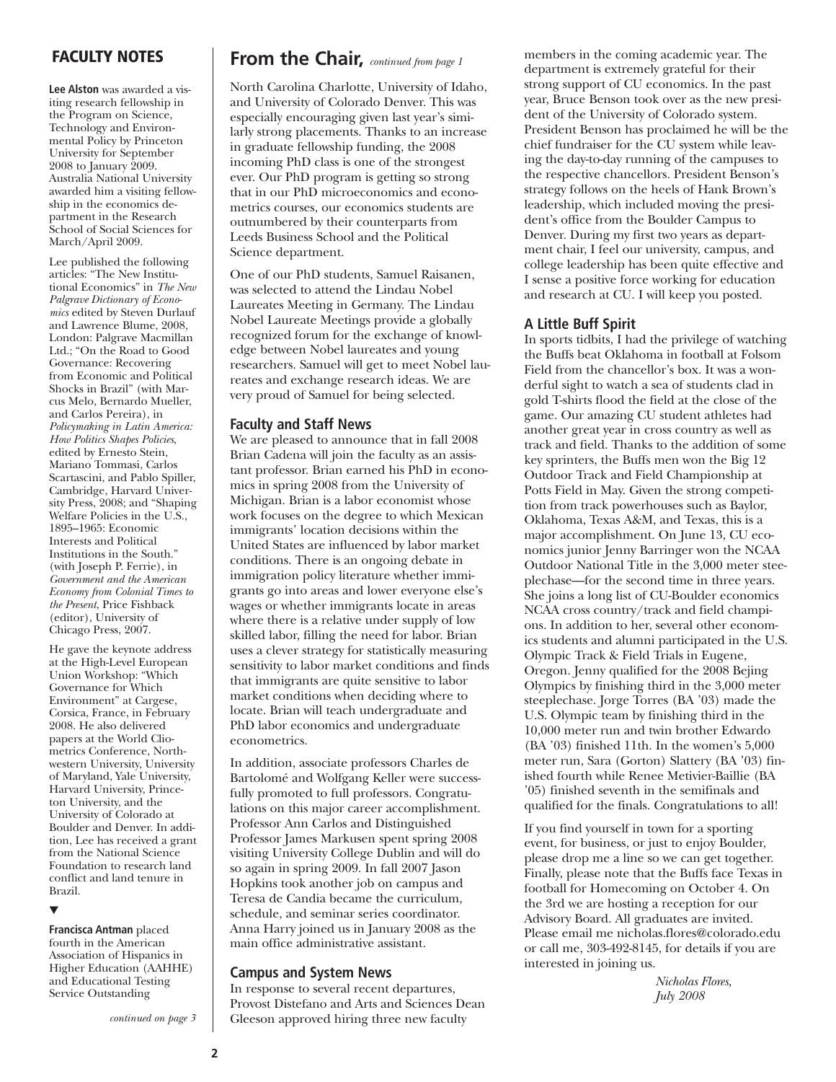**Lee Alston** was awarded a visiting research fellowship in the Program on Science, Technology and Environmental Policy by Princeton University for September 2008 to January 2009. Australia National University awarded him a visiting fellowship in the economics department in the Research School of Social Sciences for March/April 2009.

Lee published the following articles: "The New Institutional Economics" in *The New Palgrave Dictionary of Economics* edited by Steven Durlauf and Lawrence Blume, 2008, London: Palgrave Macmillan Ltd.; "On the Road to Good Governance: Recovering from Economic and Political Shocks in Brazil" (with Marcus Melo, Bernardo Mueller, and Carlos Pereira), in *Policymaking in Latin America: How Politics Shapes Policies*, edited by Ernesto Stein, Mariano Tommasi, Carlos Scartascini, and Pablo Spiller, Cambridge, Harvard University Press, 2008; and "Shaping Welfare Policies in the U.S., 1895–1965: Economic Interests and Political Institutions in the South." (with Joseph P. Ferrie), in *Government and the American Economy from Colonial Times to the Present*, Price Fishback (editor), University of Chicago Press, 2007.

He gave the keynote address at the High-Level European Union Workshop: "Which Governance for Which Environment" at Cargese, Corsica, France, in February 2008. He also delivered papers at the World Cliometrics Conference, Northwestern University, University of Maryland, Yale University, Harvard University, Princeton University, and the University of Colorado at Boulder and Denver. In addition, Lee has received a grant from the National Science Foundation to research land conflict and land tenure in Brazil.

#### ▼

**Francisca Antman** placed fourth in the American Association of Hispanics in Higher Education (AAHHE) and Educational Testing Service Outstanding

*continued on page 3*

#### **FACULTY NOTES From the Chair,** *continued from page 1*

North Carolina Charlotte, University of Idaho, and University of Colorado Denver. This was especially encouraging given last year's similarly strong placements. Thanks to an increase in graduate fellowship funding, the 2008 incoming PhD class is one of the strongest ever. Our PhD program is getting so strong that in our PhD microeconomics and econometrics courses, our economics students are outnumbered by their counterparts from Leeds Business School and the Political Science department.

One of our PhD students, Samuel Raisanen, was selected to attend the Lindau Nobel Laureates Meeting in Germany. The Lindau Nobel Laureate Meetings provide a globally recognized forum for the exchange of knowledge between Nobel laureates and young researchers. Samuel will get to meet Nobel laureates and exchange research ideas. We are very proud of Samuel for being selected.

#### **Faculty and Staff News**

We are pleased to announce that in fall 2008 Brian Cadena will join the faculty as an assistant professor. Brian earned his PhD in economics in spring 2008 from the University of Michigan. Brian is a labor economist whose work focuses on the degree to which Mexican immigrants' location decisions within the United States are influenced by labor market conditions. There is an ongoing debate in immigration policy literature whether immigrants go into areas and lower everyone else's wages or whether immigrants locate in areas where there is a relative under supply of low skilled labor, filling the need for labor. Brian uses a clever strategy for statistically measuring sensitivity to labor market conditions and finds that immigrants are quite sensitive to labor market conditions when deciding where to locate. Brian will teach undergraduate and PhD labor economics and undergraduate econometrics.

In addition, associate professors Charles de Bartolomé and Wolfgang Keller were successfully promoted to full professors. Congratulations on this major career accomplishment. Professor Ann Carlos and Distinguished Professor James Markusen spent spring 2008 visiting University College Dublin and will do so again in spring 2009. In fall 2007 Jason Hopkins took another job on campus and Teresa de Candia became the curriculum, schedule, and seminar series coordinator. Anna Harry joined us in January 2008 as the main office administrative assistant.

#### **Campus and System News**

In response to several recent departures, Provost Distefano and Arts and Sciences Dean Gleeson approved hiring three new faculty

members in the coming academic year. The department is extremely grateful for their strong support of CU economics. In the past year, Bruce Benson took over as the new president of the University of Colorado system. President Benson has proclaimed he will be the chief fundraiser for the CU system while leaving the day-to-day running of the campuses to the respective chancellors. President Benson's strategy follows on the heels of Hank Brown's leadership, which included moving the president's office from the Boulder Campus to Denver. During my first two years as department chair, I feel our university, campus, and college leadership has been quite effective and I sense a positive force working for education and research at CU. I will keep you posted.

#### **A Little Buff Spirit**

In sports tidbits, I had the privilege of watching the Buffs beat Oklahoma in football at Folsom Field from the chancellor's box. It was a wonderful sight to watch a sea of students clad in gold T-shirts flood the field at the close of the game. Our amazing CU student athletes had another great year in cross country as well as track and field. Thanks to the addition of some key sprinters, the Buffs men won the Big 12 Outdoor Track and Field Championship at Potts Field in May. Given the strong competition from track powerhouses such as Baylor, Oklahoma, Texas A&M, and Texas, this is a major accomplishment. On June 13, CU economics junior Jenny Barringer won the NCAA Outdoor National Title in the 3,000 meter steeplechase—for the second time in three years. She joins a long list of CU-Boulder economics NCAA cross country/track and field champions. In addition to her, several other economics students and alumni participated in the U.S. Olympic Track & Field Trials in Eugene, Oregon. Jenny qualified for the 2008 Bejing Olympics by finishing third in the 3,000 meter steeplechase. Jorge Torres (BA '03) made the U.S. Olympic team by finishing third in the 10,000 meter run and twin brother Edwardo (BA '03) finished 11th. In the women's 5,000 meter run, Sara (Gorton) Slattery (BA '03) finished fourth while Renee Metivier-Baillie (BA '05) finished seventh in the semifinals and qualified for the finals. Congratulations to all!

If you find yourself in town for a sporting event, for business, or just to enjoy Boulder, please drop me a line so we can get together. Finally, please note that the Buffs face Texas in football for Homecoming on October 4. On the 3rd we are hosting a reception for our Advisory Board. All graduates are invited. Please email me nicholas.flores@colorado.edu or call me, 303-492-8145, for details if you are interested in joining us.

> *Nicholas Flores, July 2008*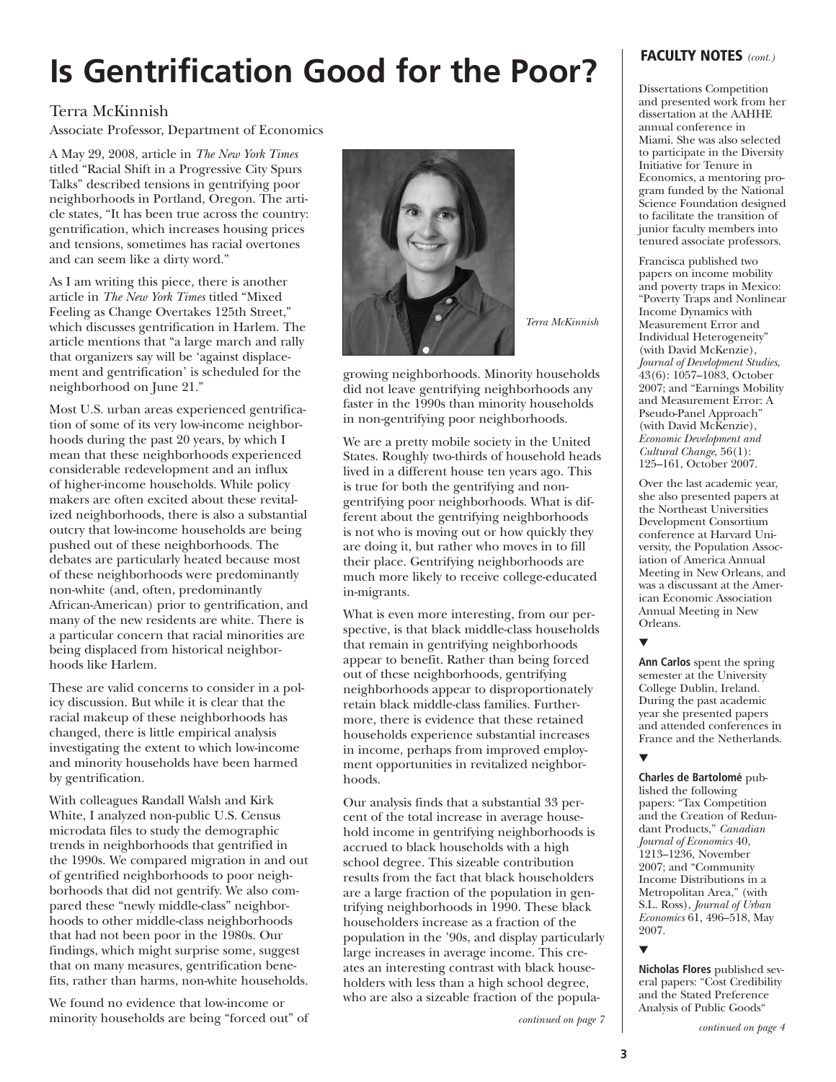## **Is Gentrification Good for the Poor?**

#### Terra McKinnish

Associate Professor, Department of Economics

A May 29, 2008, article in *The New York Times* titled "Racial Shift in a Progressive City Spurs Talks" described tensions in gentrifying poor neighborhoods in Portland, Oregon. The article states, "It has been true across the country: gentrification, which increases housing prices and tensions, sometimes has racial overtones and can seem like a dirty word."

As I am writing this piece, there is another article in *The New York Times* titled "Mixed Feeling as Change Overtakes 125th Street," which discusses gentrification in Harlem. The article mentions that "a large march and rally that organizers say will be 'against displacement and gentrification' is scheduled for the neighborhood on June 21."

Most U.S. urban areas experienced gentrification of some of its very low-income neighborhoods during the past 20 years, by which I mean that these neighborhoods experienced considerable redevelopment and an influx of higher-income households. While policy makers are often excited about these revitalized neighborhoods, there is also a substantial outcry that low-income households are being pushed out of these neighborhoods. The debates are particularly heated because most of these neighborhoods were predominantly non-white (and, often, predominantly African-American) prior to gentrification, and many of the new residents are white. There is a particular concern that racial minorities are being displaced from historical neighborhoods like Harlem.

These are valid concerns to consider in a policy discussion. But while it is clear that the racial makeup of these neighborhoods has changed, there is little empirical analysis investigating the extent to which low-income and minority households have been harmed by gentrification.

With colleagues Randall Walsh and Kirk White, I analyzed non-public U.S. Census microdata files to study the demographic trends in neighborhoods that gentrified in the 1990s. We compared migration in and out of gentrified neighborhoods to poor neighborhoods that did not gentrify. We also compared these "newly middle-class" neighborhoods to other middle-class neighborhoods that had not been poor in the 1980s. Our findings, which might surprise some, suggest that on many measures, gentrification benefits, rather than harms, non-white households.

We found no evidence that low-income or minority households are being "forced out" of



growing neighborhoods. Minority households did not leave gentrifying neighborhoods any faster in the 1990s than minority households in non-gentrifying poor neighborhoods.

We are a pretty mobile society in the United States. Roughly two-thirds of household heads lived in a different house ten years ago. This is true for both the gentrifying and nongentrifying poor neighborhoods. What is different about the gentrifying neighborhoods is not who is moving out or how quickly they are doing it, but rather who moves in to fill their place. Gentrifying neighborhoods are much more likely to receive college-educated in-migrants.

What is even more interesting, from our perspective, is that black middle-class households that remain in gentrifying neighborhoods appear to benefit. Rather than being forced out of these neighborhoods, gentrifying neighborhoods appear to disproportionately retain black middle-class families. Furthermore, there is evidence that these retained households experience substantial increases in income, perhaps from improved employment opportunities in revitalized neighborhoods.

Our analysis finds that a substantial 33 percent of the total increase in average household income in gentrifying neighborhoods is accrued to black households with a high school degree. This sizeable contribution results from the fact that black householders are a large fraction of the population in gentrifying neighborhoods in 1990. These black householders increase as a fraction of the population in the '90s, and display particularly large increases in average income. This creates an interesting contrast with black householders with less than a high school degree, who are also a sizeable fraction of the popula-

*continued on page 7*

#### **FACULTY NOTES** *(cont.)*

Dissertations Competition and presented work from her dissertation at the AAHHE annual conference in Miami. She was also selected to participate in the Diversity Initiative for Tenure in Economics, a mentoring program funded by the National Science Foundation designed to facilitate the transition of junior faculty members into tenured associate professors.

Francisca published two papers on income mobility and poverty traps in Mexico: "Poverty Traps and Nonlinear Income Dynamics with Measurement Error and Individual Heterogeneity" (with David McKenzie), *Journal of Development Studies*,  $43(6)$ : 1057–1083, October 2007; and "Earnings Mobility and Measurement Error: A Pseudo-Panel Approach" (with David McKenzie), *Economic Development and Cultural Change*, 56(1): 125–161, October 2007.

Over the last academic year, she also presented papers at the Northeast Universities Development Consortium conference at Harvard University, the Population Association of America Annual Meeting in New Orleans, and was a discussant at the American Economic Association Annual Meeting in New Orleans.

#### ▼

**Ann Carlos** spent the spring semester at the University College Dublin, Ireland. During the past academic year she presented papers and attended conferences in France and the Netherlands.

#### ▼

**Charles de Bartolomé** published the following papers: "Tax Competition and the Creation of Redundant Products," *Canadian Journal of Economics* 40, 1213–1236, November 2007; and "Community Income Distributions in a Metropolitan Area," (with S.L. Ross), *Journal of Urban Economics* 61, 496–518, May 2007.

▼

**Nicholas Flores** published several papers: "Cost Credibility and the Stated Preference Analysis of Public Goods"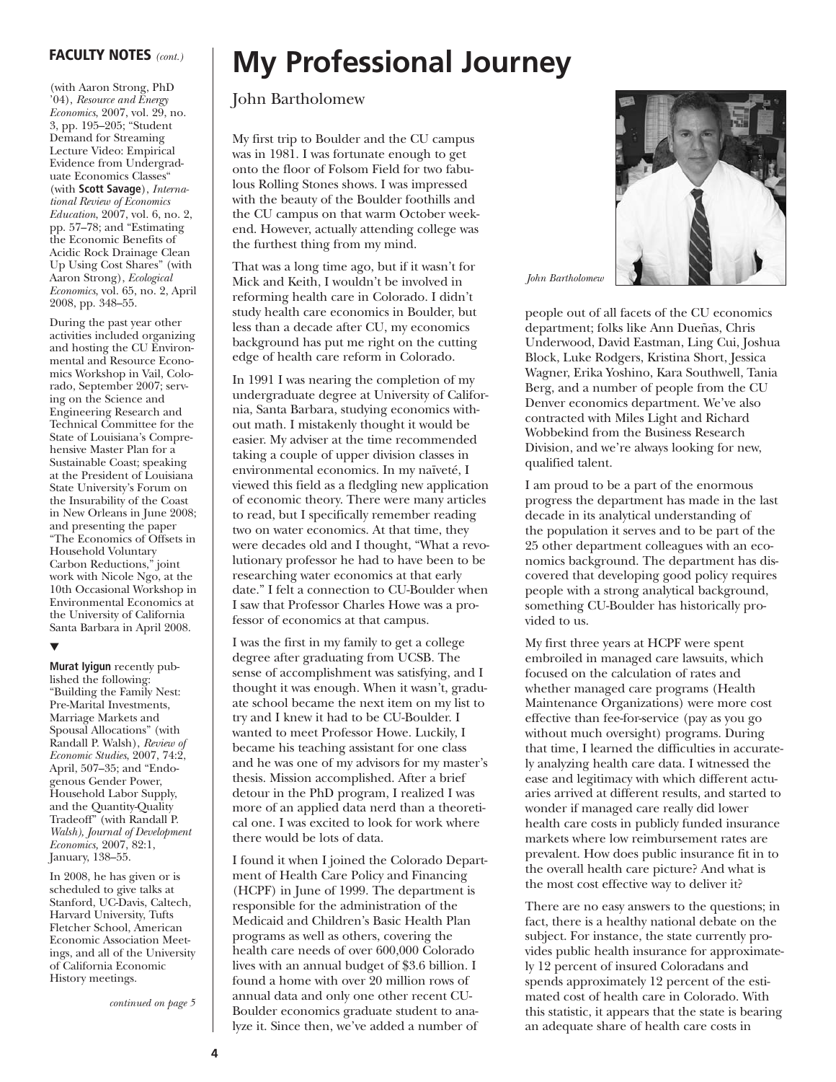(with Aaron Strong, PhD '04), *Resource and Energy Economics*, 2007, vol. 29, no. 3, pp. 195–205; "Student Demand for Streaming Lecture Video: Empirical Evidence from Undergraduate Economics Classes" (with **Scott Savage**), *International Review of Economics Education*, 2007, vol. 6, no. 2, pp. 57–78; and "Estimating the Economic Benefits of Acidic Rock Drainage Clean Up Using Cost Shares" (with Aaron Strong), *Ecological Economics*, vol. 65, no. 2, April 2008, pp. 348–55.

During the past year other activities included organizing and hosting the CU Environmental and Resource Economics Workshop in Vail, Colorado, September 2007; serving on the Science and Engineering Research and Technical Committee for the State of Louisiana's Comprehensive Master Plan for a Sustainable Coast; speaking at the President of Louisiana State University's Forum on the Insurability of the Coast in New Orleans in June 2008; and presenting the paper "The Economics of Offsets in Household Voluntary Carbon Reductions," joint work with Nicole Ngo, at the 10th Occasional Workshop in Environmental Economics at the University of California Santa Barbara in April 2008.

#### ▼

**Murat Iyigun** recently published the following: "Building the Family Nest: Pre-Marital Investments, Marriage Markets and Spousal Allocations" (with Randall P. Walsh), *Review of Economic Studies*, 2007, 74:2, April, 507–35; and "Endogenous Gender Power, Household Labor Supply, and the Quantity-Quality Tradeoff" (with Randall P. *Walsh), Journal of Development Economics,* 2007, 82:1, January, 138–55.

In 2008, he has given or is scheduled to give talks at Stanford, UC-Davis, Caltech, Harvard University, Tufts Fletcher School, American Economic Association Meetings, and all of the University of California Economic History meetings.

*continued on page 5*

### **FACULTY NOTES** *(cont.)* **My Professional Journey**

#### John Bartholomew

My first trip to Boulder and the CU campus was in 1981. I was fortunate enough to get onto the floor of Folsom Field for two fabulous Rolling Stones shows. I was impressed with the beauty of the Boulder foothills and the CU campus on that warm October weekend. However, actually attending college was the furthest thing from my mind.

That was a long time ago, but if it wasn't for Mick and Keith, I wouldn't be involved in reforming health care in Colorado. I didn't study health care economics in Boulder, but less than a decade after CU, my economics background has put me right on the cutting edge of health care reform in Colorado.

In 1991 I was nearing the completion of my undergraduate degree at University of California, Santa Barbara, studying economics without math. I mistakenly thought it would be easier. My adviser at the time recommended taking a couple of upper division classes in environmental economics. In my naïveté, I viewed this field as a fledgling new application of economic theory. There were many articles to read, but I specifically remember reading two on water economics. At that time, they were decades old and I thought, "What a revolutionary professor he had to have been to be researching water economics at that early date." I felt a connection to CU-Boulder when I saw that Professor Charles Howe was a professor of economics at that campus.

I was the first in my family to get a college degree after graduating from UCSB. The sense of accomplishment was satisfying, and I thought it was enough. When it wasn't, graduate school became the next item on my list to try and I knew it had to be CU-Boulder. I wanted to meet Professor Howe. Luckily, I became his teaching assistant for one class and he was one of my advisors for my master's thesis. Mission accomplished. After a brief detour in the PhD program, I realized I was more of an applied data nerd than a theoretical one. I was excited to look for work where there would be lots of data.

I found it when I joined the Colorado Department of Health Care Policy and Financing (HCPF) in June of 1999. The department is responsible for the administration of the Medicaid and Children's Basic Health Plan programs as well as others, covering the health care needs of over 600,000 Colorado lives with an annual budget of \$3.6 billion. I found a home with over 20 million rows of annual data and only one other recent CU-Boulder economics graduate student to analyze it. Since then, we've added a number of



*John Bartholomew*

people out of all facets of the CU economics department; folks like Ann Dueñas, Chris Underwood, David Eastman, Ling Cui, Joshua Block, Luke Rodgers, Kristina Short, Jessica Wagner, Erika Yoshino, Kara Southwell, Tania Berg, and a number of people from the CU Denver economics department. We've also contracted with Miles Light and Richard Wobbekind from the Business Research Division, and we're always looking for new, qualified talent.

I am proud to be a part of the enormous progress the department has made in the last decade in its analytical understanding of the population it serves and to be part of the 25 other department colleagues with an economics background. The department has discovered that developing good policy requires people with a strong analytical background, something CU-Boulder has historically provided to us.

My first three years at HCPF were spent embroiled in managed care lawsuits, which focused on the calculation of rates and whether managed care programs (Health Maintenance Organizations) were more cost effective than fee-for-service (pay as you go without much oversight) programs. During that time, I learned the difficulties in accurately analyzing health care data. I witnessed the ease and legitimacy with which different actuaries arrived at different results, and started to wonder if managed care really did lower health care costs in publicly funded insurance markets where low reimbursement rates are prevalent. How does public insurance fit in to the overall health care picture? And what is the most cost effective way to deliver it?

There are no easy answers to the questions; in fact, there is a healthy national debate on the subject. For instance, the state currently provides public health insurance for approximately 12 percent of insured Coloradans and spends approximately 12 percent of the estimated cost of health care in Colorado. With this statistic, it appears that the state is bearing an adequate share of health care costs in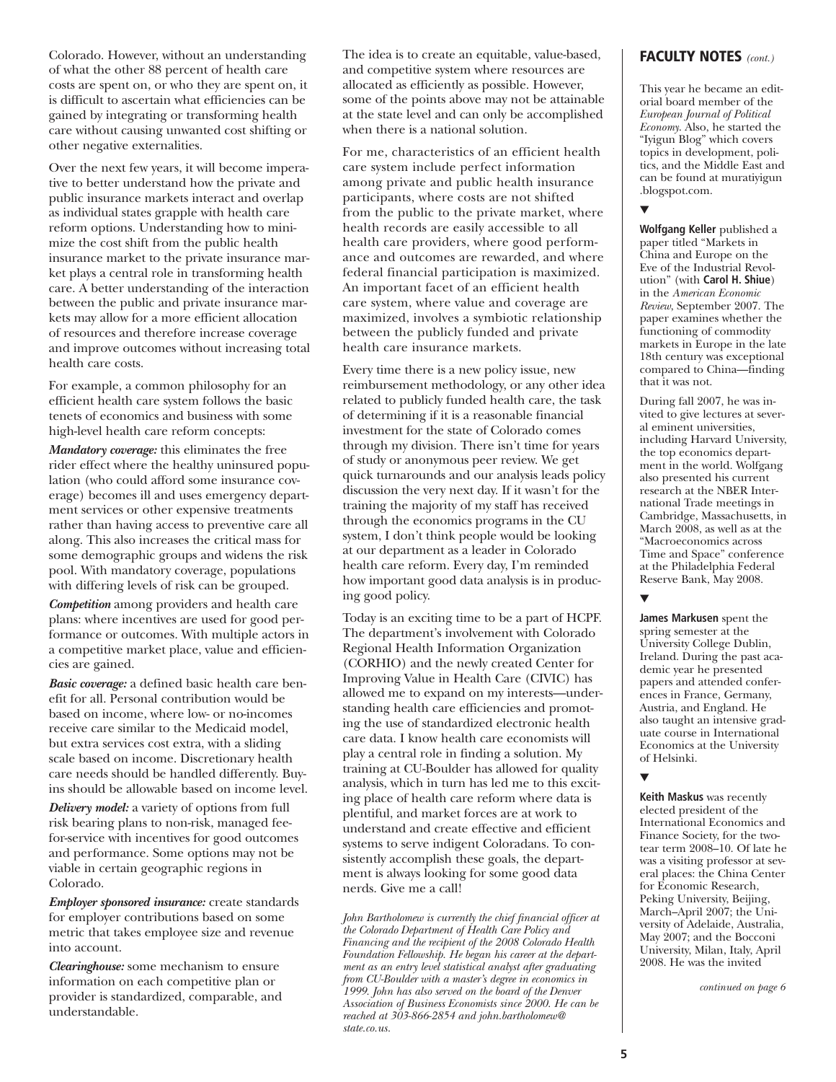of what the other 88 percent of health care costs are spent on, or who they are spent on, it is difficult to ascertain what efficiencies can be gained by integrating or transforming health care without causing unwanted cost shifting or other negative externalities.

Over the next few years, it will become imperative to better understand how the private and public insurance markets interact and overlap as individual states grapple with health care reform options. Understanding how to minimize the cost shift from the public health insurance market to the private insurance market plays a central role in transforming health care. A better understanding of the interaction between the public and private insurance markets may allow for a more efficient allocation of resources and therefore increase coverage and improve outcomes without increasing total health care costs.

For example, a common philosophy for an efficient health care system follows the basic tenets of economics and business with some high-level health care reform concepts:

*Mandatory coverage:* this eliminates the free rider effect where the healthy uninsured population (who could afford some insurance coverage) becomes ill and uses emergency department services or other expensive treatments rather than having access to preventive care all along. This also increases the critical mass for some demographic groups and widens the risk pool. With mandatory coverage, populations with differing levels of risk can be grouped.

*Competition* among providers and health care plans: where incentives are used for good performance or outcomes. With multiple actors in a competitive market place, value and efficiencies are gained.

*Basic coverage:* a defined basic health care benefit for all. Personal contribution would be based on income, where low- or no-incomes receive care similar to the Medicaid model, but extra services cost extra, with a sliding scale based on income. Discretionary health care needs should be handled differently. Buyins should be allowable based on income level.

*Delivery model:* a variety of options from full risk bearing plans to non-risk, managed feefor-service with incentives for good outcomes and performance. Some options may not be viable in certain geographic regions in Colorado.

*Employer sponsored insurance:* create standards for employer contributions based on some metric that takes employee size and revenue into account.

*Clearinghouse:* some mechanism to ensure information on each competitive plan or provider is standardized, comparable, and understandable.

Colorado. However, without an understanding The idea is to create an equitable, value-based, **FACULTY NOTES** (cont.) The idea is to create an equitable, value-based, and competitive system where resources are allocated as efficiently as possible. However, some of the points above may not be attainable at the state level and can only be accomplished when there is a national solution.

> For me, characteristics of an efficient health care system include perfect information among private and public health insurance participants, where costs are not shifted from the public to the private market, where health records are easily accessible to all health care providers, where good performance and outcomes are rewarded, and where federal financial participation is maximized. An important facet of an efficient health care system, where value and coverage are maximized, involves a symbiotic relationship between the publicly funded and private health care insurance markets.

> Every time there is a new policy issue, new reimbursement methodology, or any other idea related to publicly funded health care, the task of determining if it is a reasonable financial investment for the state of Colorado comes through my division. There isn't time for years of study or anonymous peer review. We get quick turnarounds and our analysis leads policy discussion the very next day. If it wasn't for the training the majority of my staff has received through the economics programs in the CU system, I don't think people would be looking at our department as a leader in Colorado health care reform. Every day, I'm reminded how important good data analysis is in producing good policy.

Today is an exciting time to be a part of HCPF. The department's involvement with Colorado Regional Health Information Organization (CORHIO) and the newly created Center for Improving Value in Health Care (CIVIC) has allowed me to expand on my interests—understanding health care efficiencies and promoting the use of standardized electronic health care data. I know health care economists will play a central role in finding a solution. My training at CU-Boulder has allowed for quality analysis, which in turn has led me to this exciting place of health care reform where data is plentiful, and market forces are at work to understand and create effective and efficient systems to serve indigent Coloradans. To consistently accomplish these goals, the department is always looking for some good data nerds. Give me a call!

*John Bartholomew is currently the chief financial officer at the Colorado Department of Health Care Policy and Financing and the recipient of the 2008 Colorado Health Foundation Fellowship. He began his career at the department as an entry level statistical analyst after graduating from CU-Boulder with a master's degree in economics in 1999. John has also served on the board of the Denver Association of Business Economists since 2000. He can be reached at 303-866-2854 and john.bartholomew@ state.co.us.*

This year he became an editorial board member of the *European Journal of Political Economy*. Also, he started the "Iyigun Blog" which covers topics in development, politics, and the Middle East and can be found at muratiyigun .blogspot.com.

#### ▼

**Wolfgang Keller** published a paper titled "Markets in China and Europe on the Eve of the Industrial Revolution" (with **Carol H. Shiue**) in the *American Economic Review*, September 2007. The paper examines whether the functioning of commodity markets in Europe in the late 18th century was exceptional compared to China—finding that it was not.

During fall 2007, he was invited to give lectures at several eminent universities, including Harvard University, the top economics department in the world. Wolfgang also presented his current research at the NBER International Trade meetings in Cambridge, Massachusetts, in March 2008, as well as at the "Macroeconomics across Time and Space" conference at the Philadelphia Federal Reserve Bank, May 2008.

#### ▼

**James Markusen** spent the spring semester at the University College Dublin, Ireland. During the past academic year he presented papers and attended conferences in France, Germany, Austria, and England. He also taught an intensive graduate course in International Economics at the University of Helsinki.

#### ▼

**Keith Maskus** was recently elected president of the International Economics and Finance Society, for the twotear term 2008–10. Of late he was a visiting professor at several places: the China Center for Economic Research, Peking University, Beijing, March–April 2007; the University of Adelaide, Australia, May 2007; and the Bocconi University, Milan, Italy, April 2008. He was the invited

*continued on page 6*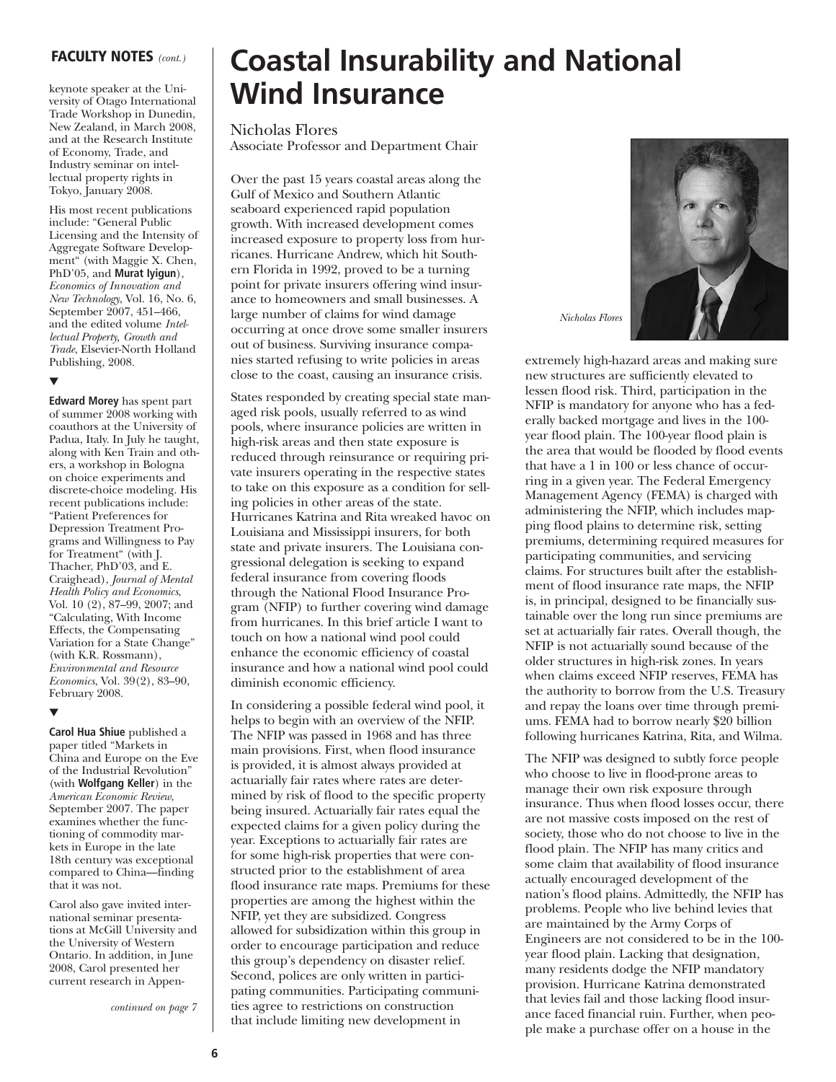#### **FACULTY NOTES** *(cont.)*

keynote speaker at the University of Otago International Trade Workshop in Dunedin, New Zealand, in March 2008, and at the Research Institute of Economy, Trade, and Industry seminar on intellectual property rights in Tokyo, January 2008.

His most recent publications include: "General Public Licensing and the Intensity of Aggregate Software Development" (with Maggie X. Chen, PhD'05, and **Murat Iyigun**), *Economics of Innovation and New Technology*, Vol. 16, No. 6, September 2007, 451–466, and the edited volume *Intellectual Property, Growth and Trade*, Elsevier-North Holland Publishing, 2008.

#### ▼

**Edward Morey** has spent part of summer 2008 working with coauthors at the University of Padua, Italy. In July he taught, along with Ken Train and others, a workshop in Bologna on choice experiments and discrete-choice modeling. His recent publications include: "Patient Preferences for Depression Treatment Programs and Willingness to Pay for Treatment" (with J. Thacher, PhD'03, and E. Craighead), *Journal of Mental Health Policy and Economics*, Vol. 10 (2), 87–99, 2007; and "Calculating, With Income Effects, the Compensating Variation for a State Change" (with K.R. Rossmann), *Environmental and Resource Economics*, Vol. 39(2), 83–90, February 2008.

#### ▼

**Carol Hua Shiue** published a paper titled "Markets in China and Europe on the Eve of the Industrial Revolution" (with **Wolfgang Keller**) in the *American Economic Review*, September 2007. The paper examines whether the functioning of commodity markets in Europe in the late 18th century was exceptional compared to China—finding that it was not.

Carol also gave invited international seminar presentations at McGill University and the University of Western Ontario. In addition, in June 2008, Carol presented her current research in Appen-

*continued on page 7*

### **Coastal Insurability and National Wind Insurance**

#### Nicholas Flores

Associate Professor and Department Chair

Over the past 15 years coastal areas along the Gulf of Mexico and Southern Atlantic seaboard experienced rapid population growth. With increased development comes increased exposure to property loss from hurricanes. Hurricane Andrew, which hit Southern Florida in 1992, proved to be a turning point for private insurers offering wind insurance to homeowners and small businesses. A large number of claims for wind damage occurring at once drove some smaller insurers out of business. Surviving insurance companies started refusing to write policies in areas close to the coast, causing an insurance crisis.

States responded by creating special state managed risk pools, usually referred to as wind pools, where insurance policies are written in high-risk areas and then state exposure is reduced through reinsurance or requiring private insurers operating in the respective states to take on this exposure as a condition for selling policies in other areas of the state. Hurricanes Katrina and Rita wreaked havoc on Louisiana and Mississippi insurers, for both state and private insurers. The Louisiana congressional delegation is seeking to expand federal insurance from covering floods through the National Flood Insurance Program (NFIP) to further covering wind damage from hurricanes. In this brief article I want to touch on how a national wind pool could enhance the economic efficiency of coastal insurance and how a national wind pool could diminish economic efficiency.

In considering a possible federal wind pool, it helps to begin with an overview of the NFIP. The NFIP was passed in 1968 and has three main provisions. First, when flood insurance is provided, it is almost always provided at actuarially fair rates where rates are determined by risk of flood to the specific property being insured. Actuarially fair rates equal the expected claims for a given policy during the year. Exceptions to actuarially fair rates are for some high-risk properties that were constructed prior to the establishment of area flood insurance rate maps. Premiums for these properties are among the highest within the NFIP, yet they are subsidized. Congress allowed for subsidization within this group in order to encourage participation and reduce this group's dependency on disaster relief. Second, polices are only written in participating communities. Participating communities agree to restrictions on construction that include limiting new development in



*Nicholas Flores*

extremely high-hazard areas and making sure new structures are sufficiently elevated to lessen flood risk. Third, participation in the NFIP is mandatory for anyone who has a federally backed mortgage and lives in the 100 year flood plain. The 100-year flood plain is the area that would be flooded by flood events that have a 1 in 100 or less chance of occurring in a given year. The Federal Emergency Management Agency (FEMA) is charged with administering the NFIP, which includes mapping flood plains to determine risk, setting premiums, determining required measures for participating communities, and servicing claims. For structures built after the establishment of flood insurance rate maps, the NFIP is, in principal, designed to be financially sustainable over the long run since premiums are set at actuarially fair rates. Overall though, the NFIP is not actuarially sound because of the older structures in high-risk zones. In years when claims exceed NFIP reserves, FEMA has the authority to borrow from the U.S. Treasury and repay the loans over time through premiums. FEMA had to borrow nearly \$20 billion following hurricanes Katrina, Rita, and Wilma.

The NFIP was designed to subtly force people who choose to live in flood-prone areas to manage their own risk exposure through insurance. Thus when flood losses occur, there are not massive costs imposed on the rest of society, those who do not choose to live in the flood plain. The NFIP has many critics and some claim that availability of flood insurance actually encouraged development of the nation's flood plains. Admittedly, the NFIP has problems. People who live behind levies that are maintained by the Army Corps of Engineers are not considered to be in the 100 year flood plain. Lacking that designation, many residents dodge the NFIP mandatory provision. Hurricane Katrina demonstrated that levies fail and those lacking flood insurance faced financial ruin. Further, when people make a purchase offer on a house in the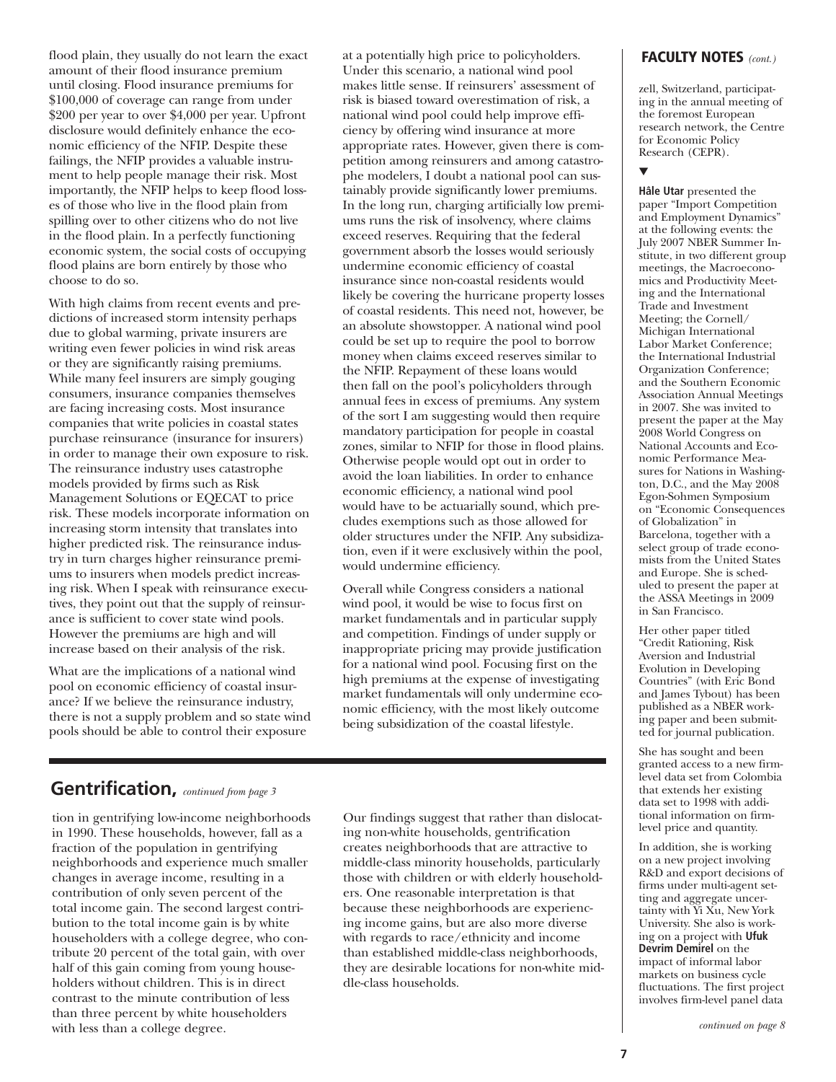flood plain, they usually do not learn the exact amount of their flood insurance premium until closing. Flood insurance premiums for \$100,000 of coverage can range from under \$200 per year to over \$4,000 per year. Upfront disclosure would definitely enhance the economic efficiency of the NFIP. Despite these failings, the NFIP provides a valuable instrument to help people manage their risk. Most importantly, the NFIP helps to keep flood losses of those who live in the flood plain from spilling over to other citizens who do not live in the flood plain. In a perfectly functioning economic system, the social costs of occupying flood plains are born entirely by those who choose to do so.

With high claims from recent events and predictions of increased storm intensity perhaps due to global warming, private insurers are writing even fewer policies in wind risk areas or they are significantly raising premiums. While many feel insurers are simply gouging consumers, insurance companies themselves are facing increasing costs. Most insurance companies that write policies in coastal states purchase reinsurance (insurance for insurers) in order to manage their own exposure to risk. The reinsurance industry uses catastrophe models provided by firms such as Risk Management Solutions or EQECAT to price risk. These models incorporate information on increasing storm intensity that translates into higher predicted risk. The reinsurance industry in turn charges higher reinsurance premiums to insurers when models predict increasing risk. When I speak with reinsurance executives, they point out that the supply of reinsurance is sufficient to cover state wind pools. However the premiums are high and will increase based on their analysis of the risk.

What are the implications of a national wind pool on economic efficiency of coastal insurance? If we believe the reinsurance industry, there is not a supply problem and so state wind pools should be able to control their exposure

at a potentially high price to policyholders. Under this scenario, a national wind pool makes little sense. If reinsurers' assessment of risk is biased toward overestimation of risk, a national wind pool could help improve efficiency by offering wind insurance at more appropriate rates. However, given there is competition among reinsurers and among catastrophe modelers, I doubt a national pool can sustainably provide significantly lower premiums. In the long run, charging artificially low premiums runs the risk of insolvency, where claims exceed reserves. Requiring that the federal government absorb the losses would seriously undermine economic efficiency of coastal insurance since non-coastal residents would likely be covering the hurricane property losses of coastal residents. This need not, however, be an absolute showstopper. A national wind pool could be set up to require the pool to borrow money when claims exceed reserves similar to the NFIP. Repayment of these loans would then fall on the pool's policyholders through annual fees in excess of premiums. Any system of the sort I am suggesting would then require mandatory participation for people in coastal zones, similar to NFIP for those in flood plains. Otherwise people would opt out in order to avoid the loan liabilities. In order to enhance economic efficiency, a national wind pool would have to be actuarially sound, which precludes exemptions such as those allowed for older structures under the NFIP. Any subsidization, even if it were exclusively within the pool, would undermine efficiency.

Overall while Congress considers a national wind pool, it would be wise to focus first on market fundamentals and in particular supply and competition. Findings of under supply or inappropriate pricing may provide justification for a national wind pool. Focusing first on the high premiums at the expense of investigating market fundamentals will only undermine economic efficiency, with the most likely outcome being subsidization of the coastal lifestyle.

### **Gentrification,** *continued from page 3*

tion in gentrifying low-income neighborhoods in 1990. These households, however, fall as a fraction of the population in gentrifying neighborhoods and experience much smaller changes in average income, resulting in a contribution of only seven percent of the total income gain. The second largest contribution to the total income gain is by white householders with a college degree, who contribute 20 percent of the total gain, with over half of this gain coming from young householders without children. This is in direct contrast to the minute contribution of less than three percent by white householders with less than a college degree.

Our findings suggest that rather than dislocating non-white households, gentrification creates neighborhoods that are attractive to middle-class minority households, particularly those with children or with elderly householders. One reasonable interpretation is that because these neighborhoods are experiencing income gains, but are also more diverse with regards to race/ethnicity and income than established middle-class neighborhoods, they are desirable locations for non-white middle-class households.

#### **FACULTY NOTES** *(cont.)*

zell, Switzerland, participating in the annual meeting of the foremost European research network, the Centre for Economic Policy Research (CEPR).

#### ▼

**Hâle Utar** presented the paper "Import Competition and Employment Dynamics" at the following events: the July 2007 NBER Summer Institute, in two different group meetings, the Macroeconomics and Productivity Meeting and the International Trade and Investment Meeting; the Cornell/ Michigan International Labor Market Conference; the International Industrial Organization Conference; and the Southern Economic Association Annual Meetings in 2007. She was invited to present the paper at the May 2008 World Congress on National Accounts and Economic Performance Measures for Nations in Washington, D.C., and the May 2008 Egon-Sohmen Symposium on "Economic Consequences of Globalization" in Barcelona, together with a select group of trade economists from the United States and Europe. She is scheduled to present the paper at the ASSA Meetings in 2009 in San Francisco.

Her other paper titled "Credit Rationing, Risk Aversion and Industrial Evolution in Developing Countries" (with Eric Bond and James Tybout) has been published as a NBER working paper and been submitted for journal publication.

She has sought and been granted access to a new firmlevel data set from Colombia that extends her existing data set to 1998 with additional information on firmlevel price and quantity.

In addition, she is working on a new project involving R&D and export decisions of firms under multi-agent setting and aggregate uncertainty with Yi Xu, New York University. She also is working on a project with **Ufuk Devrim Demirel** on the impact of informal labor markets on business cycle fluctuations. The first project involves firm-level panel data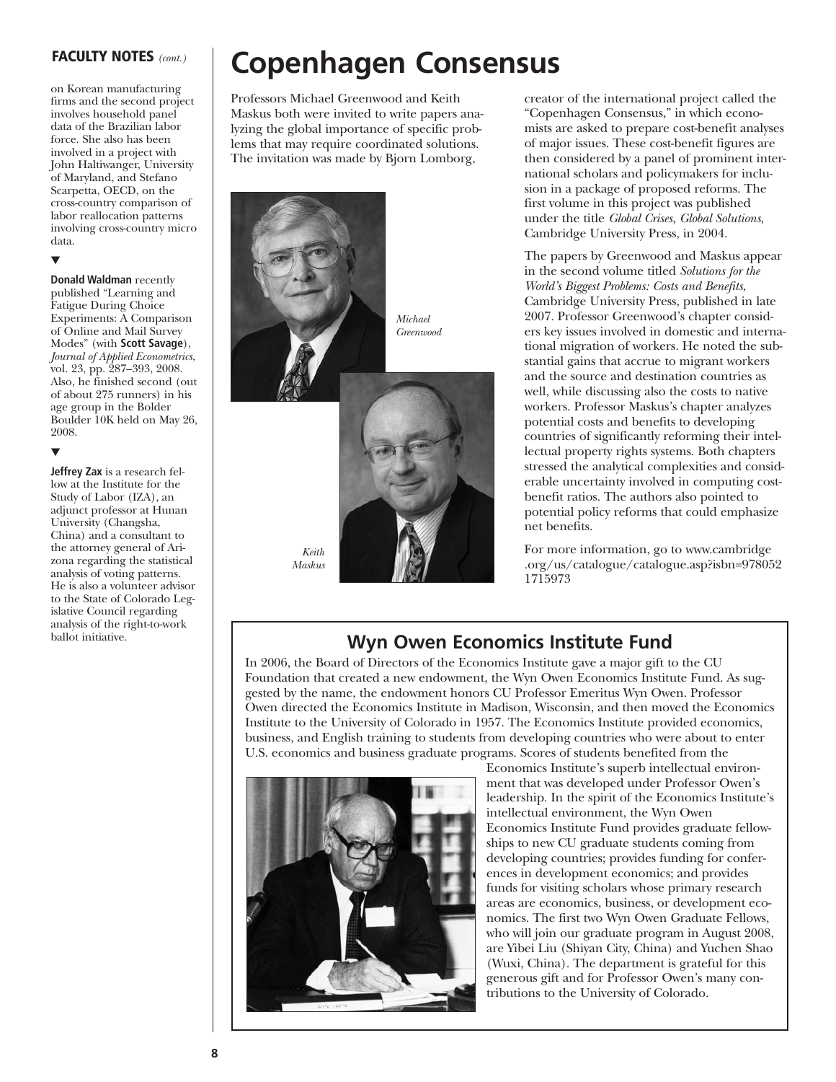#### **FACULTY NOTES** *(cont.)*

on Korean manufacturing firms and the second project involves household panel data of the Brazilian labor force. She also has been involved in a project with John Haltiwanger, University of Maryland, and Stefano Scarpetta, OECD, on the cross-country comparison of labor reallocation patterns involving cross-country micro data.

▼

▼

**Donald Waldman** recently published "Learning and Fatigue During Choice Experiments: A Comparison of Online and Mail Survey Modes" (with **Scott Savage**), *Journal of Applied Econometrics*, vol. 23, pp. 287–393, 2008. Also, he finished second (out of about 275 runners) in his age group in the Bolder Boulder 10K held on May 26, 2008.

**Jeffrey Zax** is a research fellow at the Institute for the Study of Labor (IZA), an adjunct professor at Hunan University (Changsha, China) and a consultant to the attorney general of Arizona regarding the statistical analysis of voting patterns. He is also a volunteer advisor to the State of Colorado Legislative Council regarding analysis of the right-to-work ballot initiative.

## **Copenhagen Consensus**

Professors Michael Greenwood and Keith Maskus both were invited to write papers analyzing the global importance of specific problems that may require coordinated solutions. The invitation was made by Bjorn Lomborg,



creator of the international project called the "Copenhagen Consensus," in which economists are asked to prepare cost-benefit analyses of major issues. These cost-benefit figures are then considered by a panel of prominent international scholars and policymakers for inclusion in a package of proposed reforms. The first volume in this project was published under the title *Global Crises, Global Solutions,* Cambridge University Press, in 2004.

The papers by Greenwood and Maskus appear in the second volume titled *Solutions for the World's Biggest Problems: Costs and Benefits*, Cambridge University Press, published in late 2007. Professor Greenwood's chapter considers key issues involved in domestic and international migration of workers. He noted the substantial gains that accrue to migrant workers and the source and destination countries as well, while discussing also the costs to native workers. Professor Maskus's chapter analyzes potential costs and benefits to developing countries of significantly reforming their intellectual property rights systems. Both chapters stressed the analytical complexities and considerable uncertainty involved in computing costbenefit ratios. The authors also pointed to potential policy reforms that could emphasize net benefits.

For more information, go to www.cambridge .org/us/catalogue/catalogue.asp?isbn=978052 1715973

### **Wyn Owen Economics Institute Fund**

In 2006, the Board of Directors of the Economics Institute gave a major gift to the CU Foundation that created a new endowment, the Wyn Owen Economics Institute Fund. As suggested by the name, the endowment honors CU Professor Emeritus Wyn Owen. Professor Owen directed the Economics Institute in Madison, Wisconsin, and then moved the Economics Institute to the University of Colorado in 1957. The Economics Institute provided economics, business, and English training to students from developing countries who were about to enter U.S. economics and business graduate programs. Scores of students benefited from the



Economics Institute's superb intellectual environment that was developed under Professor Owen's leadership. In the spirit of the Economics Institute's intellectual environment, the Wyn Owen Economics Institute Fund provides graduate fellowships to new CU graduate students coming from developing countries; provides funding for conferences in development economics; and provides funds for visiting scholars whose primary research areas are economics, business, or development economics. The first two Wyn Owen Graduate Fellows, who will join our graduate program in August 2008, are Yibei Liu (Shiyan City, China) and Yuchen Shao (Wuxi, China). The department is grateful for this generous gift and for Professor Owen's many contributions to the University of Colorado.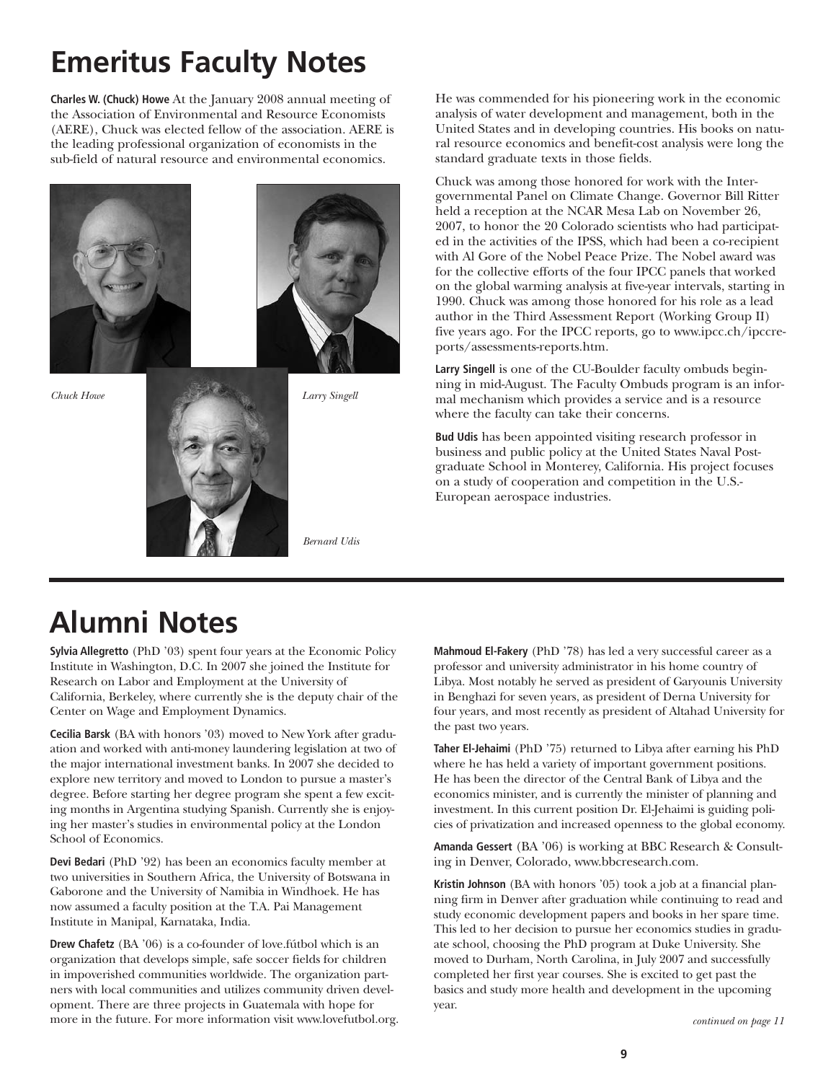## **Emeritus Faculty Notes**

**Charles W. (Chuck) Howe** At the January 2008 annual meeting of the Association of Environmental and Resource Economists (AERE), Chuck was elected fellow of the association. AERE is the leading professional organization of economists in the sub-field of natural resource and environmental economics.





*Bernard Udis*

He was commended for his pioneering work in the economic analysis of water development and management, both in the United States and in developing countries. His books on natural resource economics and benefit-cost analysis were long the standard graduate texts in those fields.

Chuck was among those honored for work with the Intergovernmental Panel on Climate Change. Governor Bill Ritter held a reception at the NCAR Mesa Lab on November 26, 2007, to honor the 20 Colorado scientists who had participated in the activities of the IPSS, which had been a co-recipient with Al Gore of the Nobel Peace Prize. The Nobel award was for the collective efforts of the four IPCC panels that worked on the global warming analysis at five-year intervals, starting in 1990. Chuck was among those honored for his role as a lead author in the Third Assessment Report (Working Group II) five years ago. For the IPCC reports, go to www.ipcc.ch/ipccreports/assessments-reports.htm.

**Larry Singell** is one of the CU-Boulder faculty ombuds beginning in mid-August. The Faculty Ombuds program is an informal mechanism which provides a service and is a resource where the faculty can take their concerns.

**Bud Udis** has been appointed visiting research professor in business and public policy at the United States Naval Postgraduate School in Monterey, California. His project focuses on a study of cooperation and competition in the U.S.- European aerospace industries.

### **Alumni Notes**

**Sylvia Allegretto** (PhD '03) spent four years at the Economic Policy Institute in Washington, D.C. In 2007 she joined the Institute for Research on Labor and Employment at the University of California, Berkeley, where currently she is the deputy chair of the Center on Wage and Employment Dynamics.

**Cecilia Barsk** (BA with honors '03) moved to New York after graduation and worked with anti-money laundering legislation at two of the major international investment banks. In 2007 she decided to explore new territory and moved to London to pursue a master's degree. Before starting her degree program she spent a few exciting months in Argentina studying Spanish. Currently she is enjoying her master's studies in environmental policy at the London School of Economics.

**Devi Bedari** (PhD '92) has been an economics faculty member at two universities in Southern Africa, the University of Botswana in Gaborone and the University of Namibia in Windhoek. He has now assumed a faculty position at the T.A. Pai Management Institute in Manipal, Karnataka, India.

**Drew Chafetz** (BA '06) is a co-founder of love.fútbol which is an organization that develops simple, safe soccer fields for children in impoverished communities worldwide. The organization partners with local communities and utilizes community driven development. There are three projects in Guatemala with hope for more in the future. For more information visit www.lovefutbol.org. **Mahmoud El-Fakery** (PhD '78) has led a very successful career as a professor and university administrator in his home country of Libya. Most notably he served as president of Garyounis University in Benghazi for seven years, as president of Derna University for four years, and most recently as president of Altahad University for the past two years.

**Taher El-Jehaimi** (PhD '75) returned to Libya after earning his PhD where he has held a variety of important government positions. He has been the director of the Central Bank of Libya and the economics minister, and is currently the minister of planning and investment. In this current position Dr. El-Jehaimi is guiding policies of privatization and increased openness to the global economy.

**Amanda Gessert** (BA '06) is working at BBC Research & Consulting in Denver, Colorado, www.bbcresearch.com.

**Kristin Johnson** (BA with honors '05) took a job at a financial planning firm in Denver after graduation while continuing to read and study economic development papers and books in her spare time. This led to her decision to pursue her economics studies in graduate school, choosing the PhD program at Duke University. She moved to Durham, North Carolina, in July 2007 and successfully completed her first year courses. She is excited to get past the basics and study more health and development in the upcoming year.

*continued on page 11*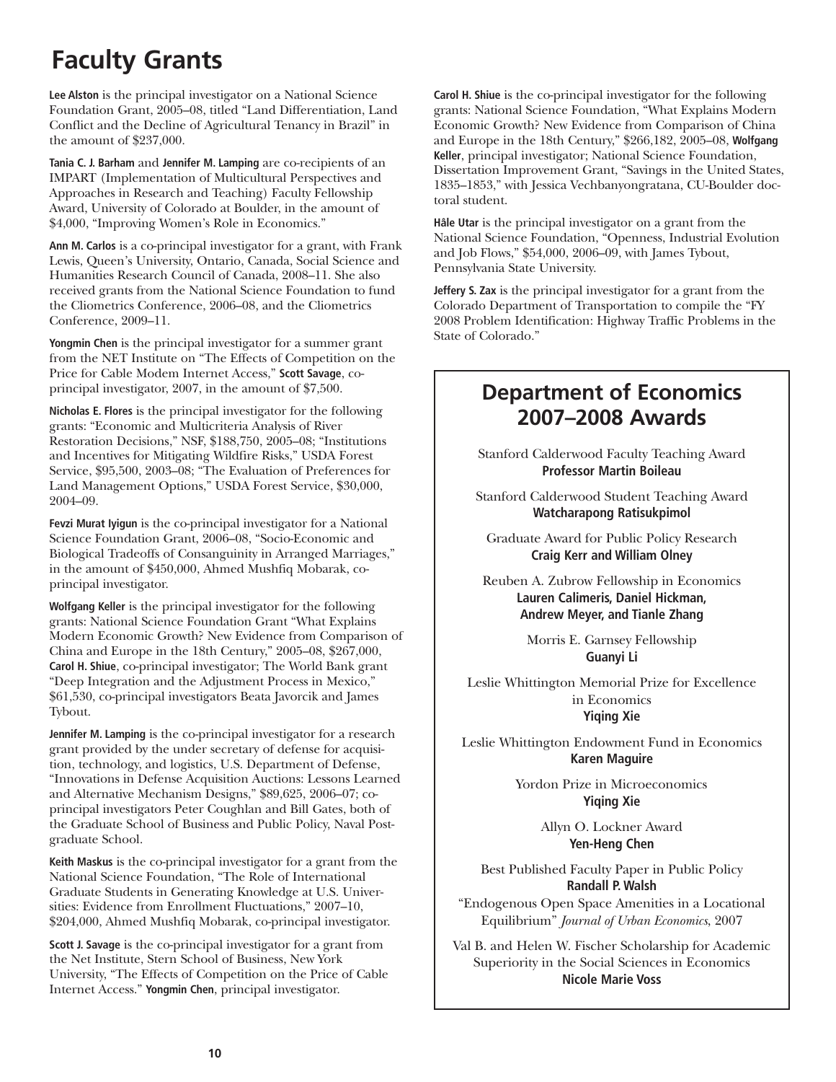### **Faculty Grants**

**Lee Alston** is the principal investigator on a National Science Foundation Grant, 2005–08, titled "Land Differentiation, Land Conflict and the Decline of Agricultural Tenancy in Brazil" in the amount of \$237,000.

**Tania C. J. Barham** and **Jennifer M. Lamping** are co-recipients of an IMPART (Implementation of Multicultural Perspectives and Approaches in Research and Teaching) Faculty Fellowship Award, University of Colorado at Boulder, in the amount of \$4,000, "Improving Women's Role in Economics."

**Ann M. Carlos** is a co-principal investigator for a grant, with Frank Lewis, Queen's University, Ontario, Canada, Social Science and Humanities Research Council of Canada, 2008–11. She also received grants from the National Science Foundation to fund the Cliometrics Conference, 2006–08, and the Cliometrics Conference, 2009–11.

**Yongmin Chen** is the principal investigator for a summer grant from the NET Institute on "The Effects of Competition on the Price for Cable Modem Internet Access," **Scott Savage**, coprincipal investigator, 2007, in the amount of \$7,500.

**Nicholas E. Flores** is the principal investigator for the following grants: "Economic and Multicriteria Analysis of River Restoration Decisions," NSF, \$188,750, 2005–08; "Institutions and Incentives for Mitigating Wildfire Risks," USDA Forest Service, \$95,500, 2003–08; "The Evaluation of Preferences for Land Management Options," USDA Forest Service, \$30,000, 2004–09.

**Fevzi Murat Iyigun** is the co-principal investigator for a National Science Foundation Grant, 2006–08, "Socio-Economic and Biological Tradeoffs of Consanguinity in Arranged Marriages," in the amount of \$450,000, Ahmed Mushfiq Mobarak, coprincipal investigator.

**Wolfgang Keller** is the principal investigator for the following grants: National Science Foundation Grant "What Explains Modern Economic Growth? New Evidence from Comparison of China and Europe in the 18th Century," 2005–08, \$267,000, **Carol H. Shiue**, co-principal investigator; The World Bank grant "Deep Integration and the Adjustment Process in Mexico," \$61,530, co-principal investigators Beata Javorcik and James Tybout.

**Jennifer M. Lamping** is the co-principal investigator for a research grant provided by the under secretary of defense for acquisition, technology, and logistics, U.S. Department of Defense, "Innovations in Defense Acquisition Auctions: Lessons Learned and Alternative Mechanism Designs," \$89,625, 2006–07; coprincipal investigators Peter Coughlan and Bill Gates, both of the Graduate School of Business and Public Policy, Naval Postgraduate School.

**Keith Maskus** is the co-principal investigator for a grant from the National Science Foundation, "The Role of International Graduate Students in Generating Knowledge at U.S. Universities: Evidence from Enrollment Fluctuations," 2007–10, \$204,000, Ahmed Mushfiq Mobarak, co-principal investigator.

**Scott J. Savage** is the co-principal investigator for a grant from the Net Institute, Stern School of Business, New York University, "The Effects of Competition on the Price of Cable Internet Access." **Yongmin Chen**, principal investigator.

**Carol H. Shiue** is the co-principal investigator for the following grants: National Science Foundation, "What Explains Modern Economic Growth? New Evidence from Comparison of China and Europe in the 18th Century," \$266,182, 2005–08, **Wolfgang Keller**, principal investigator; National Science Foundation, Dissertation Improvement Grant, "Savings in the United States, 1835–1853," with Jessica Vechbanyongratana, CU-Boulder doctoral student.

**Hâle Utar** is the principal investigator on a grant from the National Science Foundation, "Openness, Industrial Evolution and Job Flows," \$54,000, 2006–09, with James Tybout, Pennsylvania State University.

**Jeffery S. Zax** is the principal investigator for a grant from the Colorado Department of Transportation to compile the "FY 2008 Problem Identification: Highway Traffic Problems in the State of Colorado."

### **Department of Economics 2007–2008 Awards**

Stanford Calderwood Faculty Teaching Award **Professor Martin Boileau**

Stanford Calderwood Student Teaching Award **Watcharapong Ratisukpimol**

Graduate Award for Public Policy Research **Craig Kerr and William Olney**

Reuben A. Zubrow Fellowship in Economics **Lauren Calimeris, Daniel Hickman, Andrew Meyer, and Tianle Zhang**

> Morris E. Garnsey Fellowship **Guanyi Li**

Leslie Whittington Memorial Prize for Excellence in Economics **Yiqing Xie**

Leslie Whittington Endowment Fund in Economics **Karen Maguire**

> Yordon Prize in Microeconomics **Yiqing Xie**

> > Allyn O. Lockner Award **Yen-Heng Chen**

Best Published Faculty Paper in Public Policy **Randall P. Walsh**

"Endogenous Open Space Amenities in a Locational Equilibrium" *Journal of Urban Economics*, 2007

Val B. and Helen W. Fischer Scholarship for Academic Superiority in the Social Sciences in Economics **Nicole Marie Voss**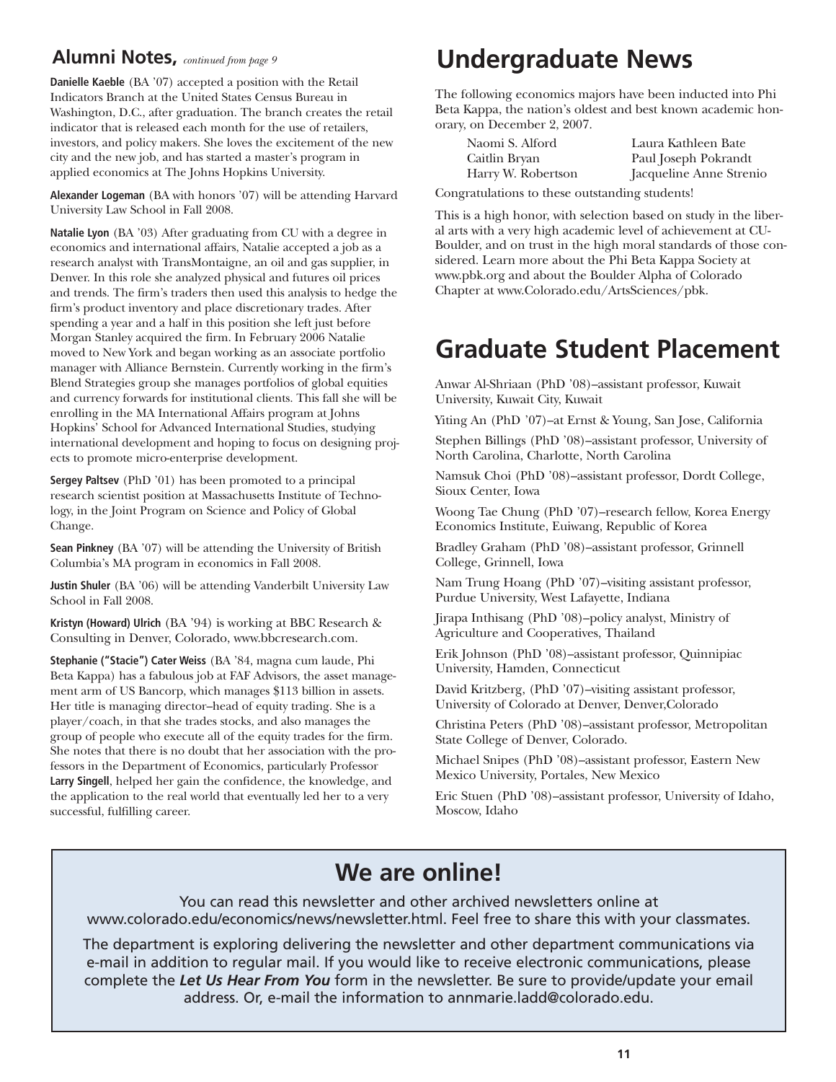### **Alumni Notes,** *continued from page 9*

**Danielle Kaeble** (BA '07) accepted a position with the Retail Indicators Branch at the United States Census Bureau in Washington, D.C., after graduation. The branch creates the retail indicator that is released each month for the use of retailers, investors, and policy makers. She loves the excitement of the new city and the new job, and has started a master's program in applied economics at The Johns Hopkins University.

**Alexander Logeman** (BA with honors '07) will be attending Harvard University Law School in Fall 2008.

**Natalie Lyon** (BA '03) After graduating from CU with a degree in economics and international affairs, Natalie accepted a job as a research analyst with TransMontaigne, an oil and gas supplier, in Denver. In this role she analyzed physical and futures oil prices and trends. The firm's traders then used this analysis to hedge the firm's product inventory and place discretionary trades. After spending a year and a half in this position she left just before Morgan Stanley acquired the firm. In February 2006 Natalie moved to New York and began working as an associate portfolio manager with Alliance Bernstein. Currently working in the firm's Blend Strategies group she manages portfolios of global equities and currency forwards for institutional clients. This fall she will be enrolling in the MA International Affairs program at Johns Hopkins' School for Advanced International Studies, studying international development and hoping to focus on designing projects to promote micro-enterprise development.

**Sergey Paltsev** (PhD '01) has been promoted to a principal research scientist position at Massachusetts Institute of Technology, in the Joint Program on Science and Policy of Global Change.

**Sean Pinkney** (BA '07) will be attending the University of British Columbia's MA program in economics in Fall 2008.

**Justin Shuler** (BA '06) will be attending Vanderbilt University Law School in Fall 2008.

**Kristyn (Howard) Ulrich** (BA '94) is working at BBC Research & Consulting in Denver, Colorado, www.bbcresearch.com.

**Stephanie ("Stacie") Cater Weiss** (BA '84, magna cum laude, Phi Beta Kappa) has a fabulous job at FAF Advisors, the asset management arm of US Bancorp, which manages \$113 billion in assets. Her title is managing director–head of equity trading. She is a player/coach, in that she trades stocks, and also manages the group of people who execute all of the equity trades for the firm. She notes that there is no doubt that her association with the professors in the Department of Economics, particularly Professor **Larry Singell**, helped her gain the confidence, the knowledge, and the application to the real world that eventually led her to a very successful, fulfilling career.

### **Undergraduate News**

The following economics majors have been inducted into Phi Beta Kappa, the nation's oldest and best known academic honorary, on December 2, 2007.

| Naomi S. Alford                             | Laura Kathleen Bate     |  |  |  |  |
|---------------------------------------------|-------------------------|--|--|--|--|
| Caitlin Bryan                               | Paul Joseph Pokrandt    |  |  |  |  |
| Harry W. Robertson                          | Jacqueline Anne Strenio |  |  |  |  |
| ngratulations to those outstanding students |                         |  |  |  |  |

Congratulations to these outstanding students!

This is a high honor, with selection based on study in the liberal arts with a very high academic level of achievement at CU-Boulder, and on trust in the high moral standards of those considered. Learn more about the Phi Beta Kappa Society at www.pbk.org and about the Boulder Alpha of Colorado Chapter at www.Colorado.edu/ArtsSciences/pbk.

### **Graduate Student Placement**

Anwar Al-Shriaan (PhD '08)–assistant professor, Kuwait University, Kuwait City, Kuwait

Yiting An (PhD '07)–at Ernst & Young, San Jose, California

Stephen Billings (PhD '08)–assistant professor, University of North Carolina, Charlotte, North Carolina

Namsuk Choi (PhD '08)–assistant professor, Dordt College, Sioux Center, Iowa

Woong Tae Chung (PhD '07)–research fellow, Korea Energy Economics Institute, Euiwang, Republic of Korea

Bradley Graham (PhD '08)–assistant professor, Grinnell College, Grinnell, Iowa

Nam Trung Hoang (PhD '07)–visiting assistant professor, Purdue University, West Lafayette, Indiana

Jirapa Inthisang (PhD '08)–policy analyst, Ministry of Agriculture and Cooperatives, Thailand

Erik Johnson (PhD '08)–assistant professor, Quinnipiac University, Hamden, Connecticut

David Kritzberg, (PhD '07)–visiting assistant professor, University of Colorado at Denver, Denver,Colorado

Christina Peters (PhD '08)–assistant professor, Metropolitan State College of Denver, Colorado.

Michael Snipes (PhD '08)–assistant professor, Eastern New Mexico University, Portales, New Mexico

Eric Stuen (PhD '08)–assistant professor, University of Idaho, Moscow, Idaho

### **We are online!**

You can read this newsletter and other archived newsletters online at www.colorado.edu/economics/news/newsletter.html. Feel free to share this with your classmates.

The department is exploring delivering the newsletter and other department communications via e-mail in addition to regular mail. If you would like to receive electronic communications, please complete the *Let Us Hear From You* form in the newsletter. Be sure to provide/update your email address. Or, e-mail the information to annmarie.ladd@colorado.edu.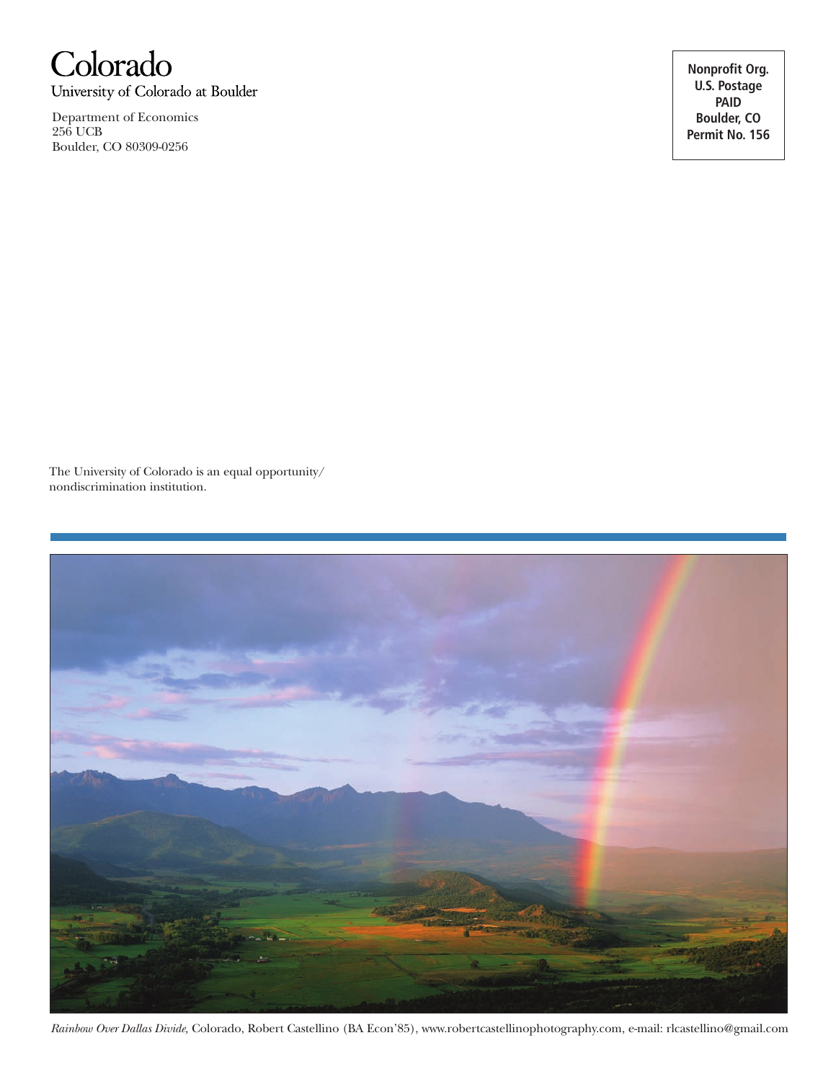

University of Colorado at Boulder

Department of Economics 256 UCB Boulder, CO 80309-0256

**Nonprofit Org. U.S. Postage PAID Boulder, CO Permit No. 156**

The University of Colorado is an equal opportunity/ nondiscrimination institution.



*Rainbow Over Dallas Divide,* Colorado, Robert Castellino (BA Econ'85), www.robertcastellinophotography.com, e-mail: rlcastellino@gmail.com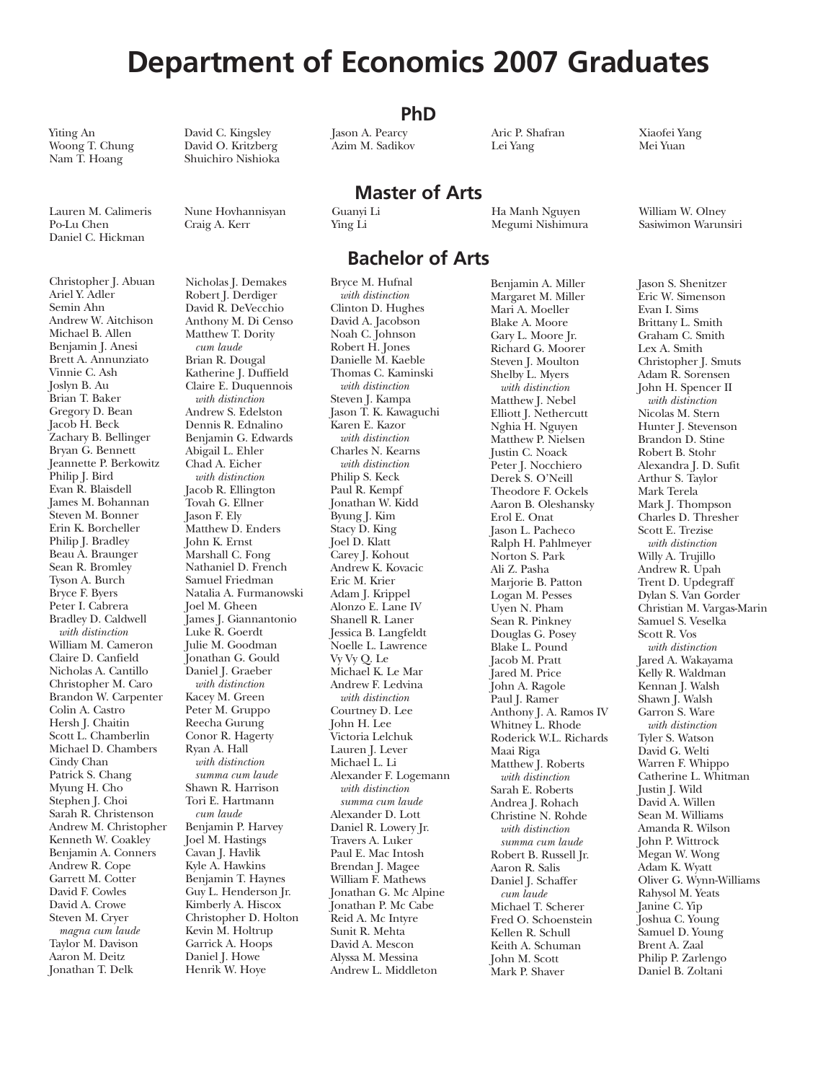### **Department of Economics 2007 Graduates**

**PhD**

Woong T. Chung<br>Nam T. Hoang

Daniel C. Hickman

Yiting An David C. Kingsley Jason A. Pearcy Aric P. Shafran Xiaofei Yang Shuichiro Nishioka

Christopher J. Abuan Ariel Y. Adler Semin Ahn Andrew W. Aitchison Michael B. Allen Benjamin J. Anesi Brett A. Annunziato Vinnie C. Ash Joslyn B. Au Brian T. Baker Gregory D. Bean Jacob H. Beck Zachary B. Bellinger Bryan G. Bennett Jeannette P. Berkowitz Philip J. Bird Evan R. Blaisdell James M. Bohannan Steven M. Bonner Erin K. Borcheller Philip J. Bradley Beau A. Braunger Sean R. Bromley Tyson A. Burch Bryce F. Byers Peter I. Cabrera Bradley D. Caldwell *with distinction* William M. Cameron Claire D. Canfield Nicholas A. Cantillo Christopher M. Caro Brandon W. Carpenter Colin A. Castro Hersh J. Chaitin Scott L. Chamberlin Michael D. Chambers Cindy Chan Patrick S. Chang Myung H. Cho Stephen J. Choi Sarah R. Christenson Andrew M. Christopher Kenneth W. Coakley Benjamin A. Conners Andrew R. Cope Garrett M. Cotter David F. Cowles David A. Crowe Steven M. Cryer *magna cum laude* Taylor M. Davison Aaron M. Deitz Jonathan T. Delk

Nicholas J. Demakes Robert J. Derdiger David R. DeVecchio Anthony M. Di Censo Matthew T. Dority *cum laude* Brian R. Dougal Katherine J. Duffield Claire E. Duquennois *with distinction* Andrew S. Edelston Dennis R. Ednalino Benjamin G. Edwards Abigail L. Ehler Chad A. Eicher *with distinction* Jacob R. Ellington Tovah G. Ellner Jason F. Ely Matthew D. Enders John K. Ernst Marshall C. Fong Nathaniel D. French Samuel Friedman Natalia A. Furmanowski Joel M. Gheen James J. Giannantonio Luke R. Goerdt Julie M. Goodman Jonathan G. Gould Daniel I. Graeber *with distinction* Kacey M. Green Peter M. Gruppo Reecha Gurung Conor R. Hagerty Ryan A. Hall *with distinction summa cum laude* Shawn R. Harrison Tori E. Hartmann *cum laude* Benjamin P. Harvey Joel M. Hastings Cavan J. Havlik Kyle A. Hawkins Benjamin T. Haynes Guy L. Henderson Jr. Kimberly A. Hiscox Christopher D. Holton Kevin M. Holtrup Garrick A. Hoops Daniel J. Howe Henrik W. Hoye

### **Bachelor of Arts**

**Master of Arts**

Bryce M. Hufnal *with distinction* Clinton D. Hughes David A. Jacobson Noah C. Johnson Robert H. Jones Danielle M. Kaeble Thomas C. Kaminski *with distinction* Steven J. Kampa Jason T. K. Kawaguchi Karen E. Kazor *with distinction* Charles N. Kearns *with distinction* Philip S. Keck Paul R. Kempf Jonathan W. Kidd Byung J. Kim Stacy D. King Joel D. Klatt Carey J. Kohout Andrew K. Kovacic Eric M. Krier Adam J. Krippel Alonzo E. Lane IV Shanell R. Laner Jessica B. Langfeldt Noelle L. Lawrence Vy Vy Q. Le Michael K. Le Mar Andrew F. Ledvina *with distinction* Courtney D. Lee John H. Lee Victoria Lelchuk Lauren J. Lever Michael L. Li Alexander F. Logemann *with distinction summa cum laude* Alexander D. Lott Daniel R. Lowery Jr. Travers A. Luker Paul E. Mac Intosh Brendan J. Magee William F. Mathews Jonathan G. Mc Alpine Jonathan P. Mc Cabe Reid A. Mc Intyre Sunit R. Mehta David A. Mescon Alyssa M. Messina Andrew L. Middleton

Benjamin A. Miller Margaret M. Miller Mari A. Moeller Blake A. Moore Gary L. Moore Jr. Richard G. Moorer Steven J. Moulton Shelby L. Myers *with distinction* Matthew J. Nebel Elliott J. Nethercutt Nghia H. Nguyen Matthew P. Nielsen Justin C. Noack Peter J. Nocchiero Derek S. O'Neill Theodore F. Ockels Aaron B. Oleshansky Erol E. Onat Jason L. Pacheco Ralph H. Pahlmeyer Norton S. Park Ali Z. Pasha Marjorie B. Patton Logan M. Pesses Uyen N. Pham Sean R. Pinkney Douglas G. Posey Blake L. Pound Jacob M. Pratt Jared M. Price John A. Ragole Paul J. Ramer Anthony J. A. Ramos IV Whitney L. Rhode Roderick W.L. Richards Maai Riga Matthew J. Roberts *with distinction* Sarah E. Roberts Andrea J. Rohach Christine N. Rohde *with distinction summa cum laude* Robert B. Russell Jr. Aaron R. Salis Daniel J. Schaffer *cum laude* Michael T. Scherer Fred O. Schoenstein Kellen R. Schull Keith A. Schuman John M. Scott Mark P. Shaver

Megumi Nishimura

Lauren M. Calimeris Nune Hovhannisyan Guanyi Li Ha Manh Nguyen William W. Olney

Jason S. Shenitzer Eric W. Simenson Evan I. Sims Brittany L. Smith Graham C. Smith Lex A. Smith Christopher J. Smuts Adam R. Sorensen John H. Spencer II *with distinction* Nicolas M. Stern Hunter J. Stevenson Brandon D. Stine Robert B. Stohr Alexandra J. D. Sufit Arthur S. Taylor Mark Terela Mark J. Thompson Charles D. Thresher Scott E. Trezise *with distinction* Willy A. Trujillo Andrew R. Upah Trent D. Updegraff Dylan S. Van Gorder Christian M. Vargas-Marin Samuel S. Veselka Scott R. Vos *with distinction* Jared A. Wakayama Kelly R. Waldman Kennan J. Walsh Shawn J. Walsh Garron S. Ware *with distinction* Tyler S. Watson David G. Welti Warren F. Whippo Catherine L. Whitman Justin J. Wild David A. Willen Sean M. Williams Amanda R. Wilson John P. Wittrock Megan W. Wong Adam K. Wyatt Oliver G. Wynn-Williams Rahysol M. Yeats Janine C. Yip Joshua C. Young Samuel D. Young Brent A. Zaal Philip P. Zarlengo Daniel B. Zoltani